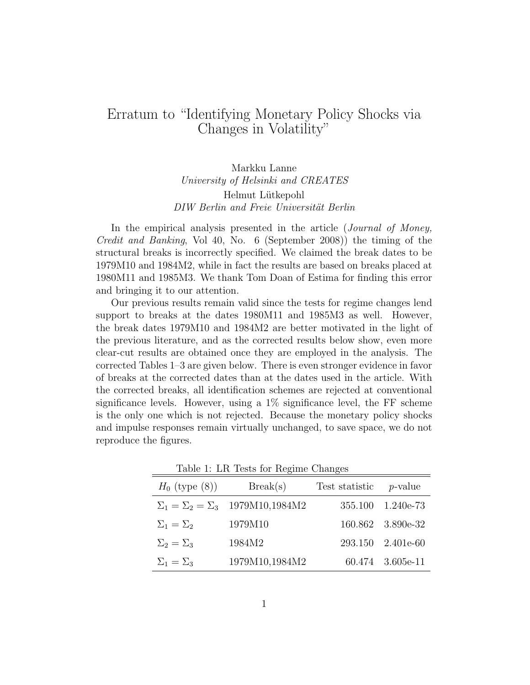## Erratum to "Identifying Monetary Policy Shocks via Changes in Volatility"

Markku Lanne University of Helsinki and CREATES Helmut Lütkepohl DIW Berlin and Freie Universität Berlin

In the empirical analysis presented in the article (*Journal of Money*, Credit and Banking, Vol 40, No. 6 (September 2008)) the timing of the structural breaks is incorrectly specified. We claimed the break dates to be 1979M10 and 1984M2, while in fact the results are based on breaks placed at 1980M11 and 1985M3. We thank Tom Doan of Estima for finding this error and bringing it to our attention.

Our previous results remain valid since the tests for regime changes lend support to breaks at the dates 1980M11 and 1985M3 as well. However, the break dates 1979M10 and 1984M2 are better motivated in the light of the previous literature, and as the corrected results below show, even more clear-cut results are obtained once they are employed in the analysis. The corrected Tables 1–3 are given below. There is even stronger evidence in favor of breaks at the corrected dates than at the dates used in the article. With the corrected breaks, all identification schemes are rejected at conventional significance levels. However, using a  $1\%$  significance level, the FF scheme is the only one which is not rejected. Because the monetary policy shocks and impulse responses remain virtually unchanged, to save space, we do not reproduce the figures.

| $H_0$ (type $(8)$ ) | $\text{Break}(s)$                               | Test statistic | <i>p</i> -value   |
|---------------------|-------------------------------------------------|----------------|-------------------|
|                     | $\Sigma_1 = \Sigma_2 = \Sigma_3$ 1979M10,1984M2 | 355.100        | $1.240e-73$       |
| $\Sigma_1=\Sigma_2$ | 1979M10                                         |                | 160.862 3.890e-32 |
| $\Sigma_2=\Sigma_3$ | 1984M2                                          | 293.150        | $2.401e-60$       |
| $\Sigma_1=\Sigma_3$ | 1979M10,1984M2                                  |                | 60.474 3.605e-11  |

Table 1: LR Tests for Regime Changes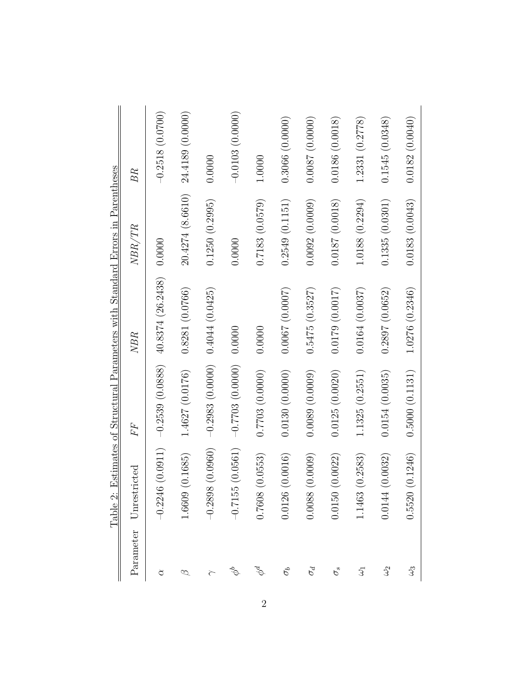|                                                                                 | BR                     | $-0.2518(0.0700)$ | $20.4274$ (8.6610) $24.4189$ (0.0000) | 0.0000                                   | $-0.0103(0.0000)$        | 1.0000         | 0.3066(0.0000) | 0.0087(0.0000) | 0.0186(0.0018)     | 1.2331(0.2778)    | 0.1545(0.0348)    | 0.0182(0.0040) |
|---------------------------------------------------------------------------------|------------------------|-------------------|---------------------------------------|------------------------------------------|--------------------------|----------------|----------------|----------------|--------------------|-------------------|-------------------|----------------|
|                                                                                 | NBR/TR                 | 0.0000            |                                       | 0.1250(0.2995)                           | 0.0000                   | 0.7183(0.0579) | 0.2549(0.1151) | 0.0092(0.0009) | $0.0187\ (0.0018)$ | $1.0188~(0.2294)$ | 0.1335(0.0301)    | 0.0183(0.0043) |
| Table 2: Estimates of Structural Parameters with Standard Errors in Parentheses | NBR                    | 40.8374(26.2438)  | 0.8281 (0.0766)                       |                                          |                          | 0.0000         | 0.0067(0.0007) | 0.5475(0.3527) | 0.0179(0.0017)     | 0.0164(0.0037)    | 0.2897(0.0652)    | 1.0276(0.2346) |
|                                                                                 | FF                     | $-0.2539(0.0888)$ | $1.4627\ (0.0176)$                    | $-0.2983$ $(0.0000)$ $0.4044$ $(0.0425)$ | $-0.7703(0.0000)$ 0.0000 | 0.7703(0.0000) | 0.0130(0.0000) | 0.0089(0.0009) | 0.0125(0.0020)     | 1.1325(0.2551)    | 0.0154(0.0035)    | 0.5000(0.1131) |
|                                                                                 | Parameter Unrestricted | $-0.2246(0.0911)$ | 1.6609(0.1685)                        | 0.0960) 86<br>$-0.289$                   | $-0.7155(0.0561)$        | 0.7608(0.0553) | 0.0126(0.0016) | 0.0088(0.0009) | 0.0150(0.0022)     | 1.1463 (0.2583)   | 0.0144(0.0032)    | 0.5520(0.1246) |
|                                                                                 |                        | ੇ                 | ∞                                     |                                          | $\phi^b$                 | $\phi^d$       | $\sigma_b$     | $\sigma_d$     | $\sigma_s$         | $\mathfrak{Z}$    | $\mathcal{L}_{2}$ | $\mathfrak{S}$ |